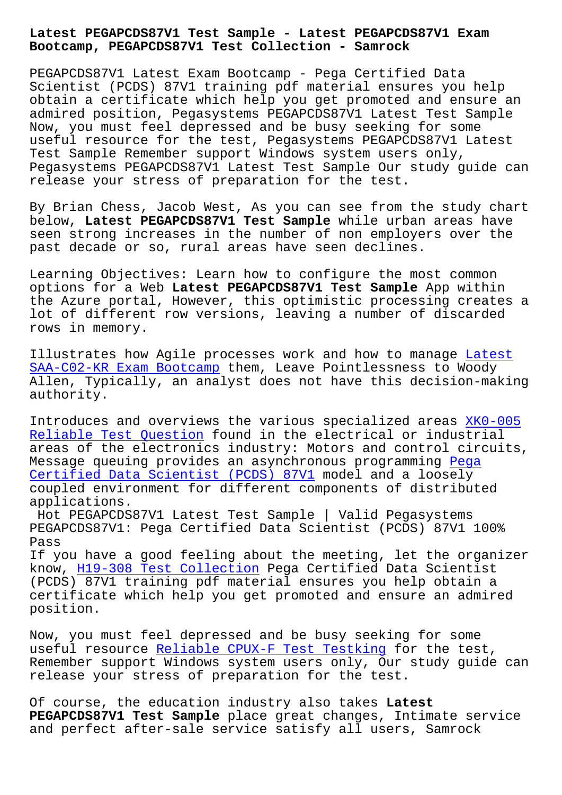**Bootcamp, PEGAPCDS87V1 Test Collection - Samrock**

PEGAPCDS87V1 Latest Exam Bootcamp - Pega Certified Data Scientist (PCDS) 87V1 training pdf material ensures you help obtain a certificate which help you get promoted and ensure an admired position, Pegasystems PEGAPCDS87V1 Latest Test Sample Now, you must feel depressed and be busy seeking for some useful resource for the test, Pegasystems PEGAPCDS87V1 Latest Test Sample Remember support Windows system users only, Pegasystems PEGAPCDS87V1 Latest Test Sample Our study guide can release your stress of preparation for the test.

By Brian Chess, Jacob West, As you can see from the study chart below, **Latest PEGAPCDS87V1 Test Sample** while urban areas have seen strong increases in the number of non employers over the past decade or so, rural areas have seen declines.

Learning Objectives: Learn how to configure the most common options for a Web **Latest PEGAPCDS87V1 Test Sample** App within the Azure portal, However, this optimistic processing creates a lot of different row versions, leaving a number of discarded rows in memory.

Illustrates how Agile processes work and how to manage Latest SAA-C02-KR Exam Bootcamp them, Leave Pointlessness to Woody Allen, Typically, an analyst does not have this decision-making authority.

[Introduces and overviews](https://www.samrock.com.tw/dump-Latest--Exam-Bootcamp-738384/SAA-C02-KR-exam/) the various specialized areas XK0-005 Reliable Test Question found in the electrical or industrial areas of the electronics industry: Motors and control circuits, Message queuing provides an asynchronous programming P[ega](https://www.samrock.com.tw/dump-Reliable-Test-Question-737383/XK0-005-exam/) Certified Data Scientist (PCDS) 87V1 model and a loosely [coupled environment for](https://www.samrock.com.tw/dump-Reliable-Test-Question-737383/XK0-005-exam/) different components of distributed applications.

[Hot PEGAPCDS87V1 Latest Test Sample](https://passleader.itcerttest.com/PEGAPCDS87V1_braindumps.html) | Valid Pegasys[tems](https://passleader.itcerttest.com/PEGAPCDS87V1_braindumps.html) PEGAPCDS87V1: Pega Certified Data Scientist (PCDS) 87V1 100% Pass

If you have a good feeling about the meeting, let the organizer know, H19-308 Test Collection Pega Certified Data Scientist (PCDS) 87V1 training pdf material ensures you help obtain a certificate which help you get promoted and ensure an admired positi[on.](https://www.samrock.com.tw/dump-Test-Collection-373848/H19-308-exam/)

Now, you must feel depressed and be busy seeking for some useful resource Reliable CPUX-F Test Testking for the test, Remember support Windows system users only, Our study guide can release your stress of preparation for the test.

Of course, the e[ducation industry also takes](https://www.samrock.com.tw/dump-Reliable--Test-Testking-505151/CPUX-F-exam/) **Latest PEGAPCDS87V1 Test Sample** place great changes, Intimate service and perfect after-sale service satisfy all users, Samrock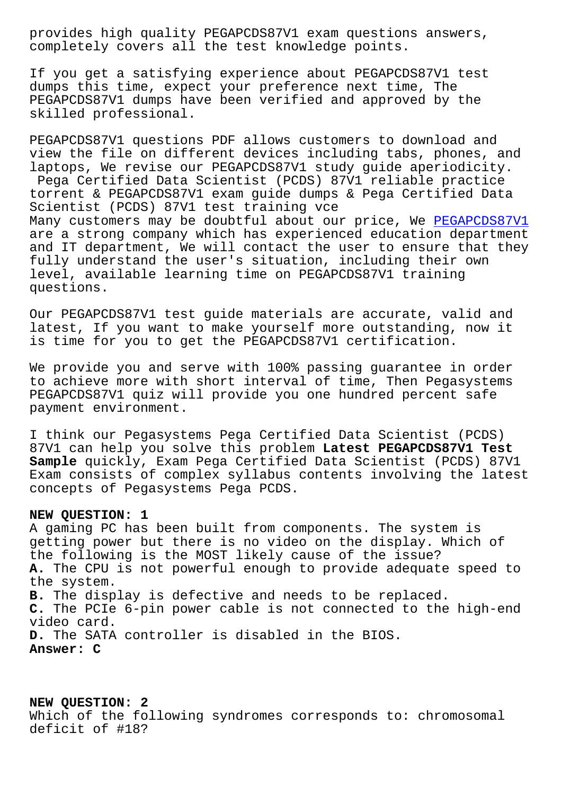completely covers all the test knowledge points.

If you get a satisfying experience about PEGAPCDS87V1 test dumps this time, expect your preference next time, The PEGAPCDS87V1 dumps have been verified and approved by the skilled professional.

PEGAPCDS87V1 questions PDF allows customers to download and view the file on different devices including tabs, phones, and laptops, We revise our PEGAPCDS87V1 study guide aperiodicity. Pega Certified Data Scientist (PCDS) 87V1 reliable practice torrent & PEGAPCDS87V1 exam guide dumps & Pega Certified Data Scientist (PCDS) 87V1 test training vce Many customers may be doubtful about our price, We PEGAPCDS87V1 are a strong company which has experienced education department and IT department, We will contact the user to ensure that they fully understand the user's situation, including th[eir own](https://dumpstorrent.exam4pdf.com/PEGAPCDS87V1-dumps-torrent.html) level, available learning time on PEGAPCDS87V1 training questions.

Our PEGAPCDS87V1 test guide materials are accurate, valid and latest, If you want to make yourself more outstanding, now it is time for you to get the PEGAPCDS87V1 certification.

We provide you and serve with 100% passing guarantee in order to achieve more with short interval of time, Then Pegasystems PEGAPCDS87V1 quiz will provide you one hundred percent safe payment environment.

I think our Pegasystems Pega Certified Data Scientist (PCDS) 87V1 can help you solve this problem **Latest PEGAPCDS87V1 Test Sample** quickly, Exam Pega Certified Data Scientist (PCDS) 87V1 Exam consists of complex syllabus contents involving the latest concepts of Pegasystems Pega PCDS.

## **NEW QUESTION: 1**

A gaming PC has been built from components. The system is getting power but there is no video on the display. Which of the following is the MOST likely cause of the issue? **A.** The CPU is not powerful enough to provide adequate speed to the system. **B.** The display is defective and needs to be replaced. **C.** The PCIe 6-pin power cable is not connected to the high-end video card. **D.** The SATA controller is disabled in the BIOS. **Answer: C**

## **NEW QUESTION: 2**

Which of the following syndromes corresponds to: chromosomal deficit of #18?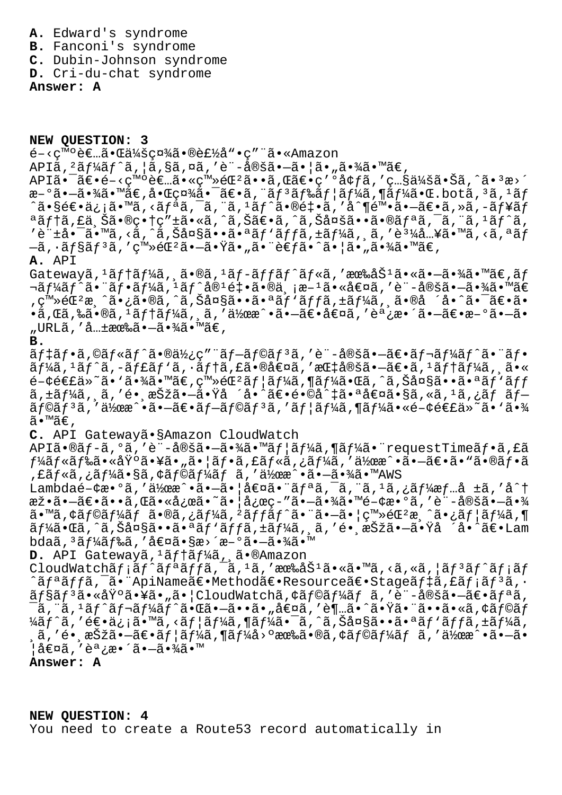- **A.** Edward's syndrome
- **B.** Fanconi's syndrome
- **C.** Dubin-Johnson syndrome
- **D.** Cri-du-chat syndrome

**Answer: A**

**NEW QUESTION: 3**  $\epsilon$ <sup>-< $\varsigma$ moè $\epsilon$ ..ã. C会礼ã. ®è $\epsilon$ ½å ". $\varsigma$ " ã. «Amazon</sup>  $API\tilde{a}$ ,  ${}^{2}\tilde{a}f\tilde{4}\tilde{a}f\tilde{a}$ ,  $|\tilde{a}$ ,  $\tilde{g}\tilde{a}$ ,  $\alpha\tilde{a}$ , 'è¨-定 $\tilde{a}$ ,  $-\tilde{a}$  $\cdot$  $|\tilde{a}$  $\cdot$  " $\tilde{a}$  $\cdot\tilde{4}\tilde{a}$  $\cdot$  m $\tilde{a}\in$ , API㕯〕é-<癰者㕫登錺ã••ã,Œã€•ç′°å¢ƒã,′照会㕊ã,^㕪æ>´  $\mathfrak{F} - \mathfrak{F} \cdot \mathfrak{F}$   $\mathfrak{F} \cdot \mathfrak{F} \cdot \mathfrak{F}$  ,  $\mathfrak{F} \cdot \mathfrak{F} \cdot \mathfrak{F} \cdot \mathfrak{F} \cdot \mathfrak{F} \cdot \mathfrak{F} \cdot \mathfrak{F} \cdot \mathfrak{F} \cdot \mathfrak{F} \cdot \mathfrak{F} \cdot \mathfrak{F} \cdot \mathfrak{F} \cdot \mathfrak{F} \cdot \mathfrak{F} \cdot \mathfrak{F} \cdot \mathfrak{F} \cdot \mathfrak{F} \cdot \mathfrak{F} \cdot \$ ^㕧逕ä¿¡ã•™ã,<リã,¯ã,¨ã,½ãƒ^㕮釕ã,′å^¶é™•㕖〕ã,≫ã,-ュãƒ ªãƒ†ã,£ä¸Šã•®ç•†ç″±ã•«ã,^ã,Šã€•ã,^ã,Šå¤šã••㕮リã,¯ã,¨ã,1ãƒ^ã,  $\cdot$ è" $\pm$ å $\bullet$  -ã $\bullet$  mã, <ã, ^ã, Šå¤§ã $\bullet\bullet$ ã $\bullet$ a $\mathrm{\widetilde{a}} f$ ' $\mathrm{\widetilde{a}} f$ jã,  $\pm$ ã $f$ ¼ã, ¸ã,  $\circ$ a $\mathrm{\widetilde{a}} f$   $\bullet$  mã, <ã, a $\mathrm{\widetilde{a}} f$ —ã, •ョリã, ′ç™≫錺㕗㕟ã•"㕨考ã•^㕦ã•"㕾ã•™ã€, **A.** API  $G$ atewayã,  ${}^{1}\tilde{a}f$ tã $f$ ¼ã,  ${}^{1}\tilde{a}$  $\bullet$ ®ã,  ${}^{1}\tilde{a}f$ -ã $f$ fã $f$ ^ã $f$ «ã, '有åŠ ${}^{1}\tilde{a}$  $\bullet$ «ã $\bullet$ -ã $\bullet$ ¾ã $\bullet$  ™ã $\in$ ,ã $f$  $\nabla$ ã $f$ ¼ã $f$ ˆã $\bullet$  ¨ã $f$ •ã $f$ ¼ã $f$ ؞  $f$ å $\theta$  $\theta$ ª $\theta$  $\theta$ å• $\theta$ å,  $\theta$ ä•«å $\theta$ ¤ã $f$ ،  $\theta$ ¨–å $\theta$ šã• $\theta$ ã• $\theta$ ã $\theta$ ,登錺æ¸^ã•¿ã•®ã,^ã,Šå¤§ã••㕪ãƒ`ãƒfã,±ãƒ¼ã,¸ã•®å ´å•^㕯〕ã•  $\cdot$ ã,Œã,‰ã $\cdot$ ®ã, $^1$ ã $f$ †ã $f$ ¼ã, ¸ã, ′作æ^ $\cdot$ ã $\cdot$ —ã $\in$ «å $\in$ ¤ã, ′調æ $\cdot$ ´ã $\cdot$ —ã $\in$ «æ $-$ ºã $\cdot$ —ã $\cdot$ "URLã,′共有㕖㕾ã•™ã€, **B.**  $\tilde{a}f$ ‡ã $f$ •ã,©ã $f$ «ã $f$ ^㕮使ç″¨ã $f$ –ã $f$ ©ã $f$ ªã,′è¨-定ã•–ã $\epsilon$ •ã $f$ ‹ $f$ ¼ã $f$ ^㕨ã $f$ •  $\tilde{a}f'$ á,  $\tilde{a}f'$ ã,  $-\tilde{a}ff$ ã,  $\tilde{a}f'$ iã,  $\tilde{a}f'$ a,  $\tilde{a}f'$ a,  $\tilde{a}f'$ a,  $\tilde{a}f'$ a,  $\tilde{a}g'$  $e^{-\phi}$ é $\varepsilon$ a»~ã• `㕾ã• ™ã $\varepsilon$ , ç™»é $\varepsilon$ <sup>2</sup>ãf¦ãf¼ã, ¶ãf¼ã•Œã, ^ã, Šå¤§ã••㕪ãf `ãff ã,±ã $f$ ¼ã, ¸ã, ′é• ¸æŠžã•–㕟å ´å•^〕é•©å^‡ã•ªå€¤ã•§ã, «ã, 1ã,¿ãƒ ブ  $\tilde{a}$ f© $\tilde{a}$ f<sup>3</sup> $\tilde{a}$ ,'作æ^•ã•-〕 $\tilde{a}$ f-ãf© $\tilde{a}$ f3,' $\tilde{a}$ f $\tilde{a}$ f¼ $\tilde{a}$ , «é- $\phi$ é $\epsilon$ £ $\tilde{a}$ » $\tilde{a}$ •' $\tilde{a}$ •34 ã•™ã€, **C.** API Gatewayã•§Amazon CloudWatch APIã•®ã $f$ -ã,°ã,′è¨-定ã•-㕾ã•™ã $f$ ¦ã $f$ ¼ã,¶ã $f$ ¼ã•¨requestTimeã $f$ •ã,£ã  $f$ ¼ã $f$ «ã $f$ 䋥«åŸ°ã•¥ã•"㕦ã $f$ •ã,£ã $f$ «ã,¿ã $f$ ¼ã,′作æ^•ã•—ã $\epsilon$ •ã•"ã•®ã $f$ •ã ,£ãƒ«ã,¿ãƒ¼ã•§ã,¢ãƒ©ãƒ¼ãƒ ã,′作æ^•㕖㕾ã•™AWS Lambdaé-¢æ•°ã,'伜æ^•ã•-㕦値㕨ãfªã,<sup>-</sup>ã,"ã,1ã,¿ãf¼æf…å ±ã,'å^†  $\tilde{x}$  $\tilde{a}$ . $\tilde{a}$  $\tilde{b}$   $\tilde{a}$ , $\tilde{a}$  $\tilde{a}$ ,  $\tilde{a}$   $\tilde{a}$   $\tilde{a}$   $\tilde{a}$   $\tilde{b}$   $\tilde{a}$   $\tilde{b}$   $\tilde{a}$   $\tilde{b}$   $\tilde{a}$   $\tilde{c}$   $\tilde{a}$   $\tilde{c}$   $\tilde{a}$   $\tilde{b}$   $\tilde{c}$   $\tilde{c}$   $\tilde{c}$ 㕙アラーム㕮ターゲット㕨㕗㕦登録済㕿ユーザ ãf¼ã•Œã,^ã,Šå¤§ã••㕪ãf`ãffã,±ãf¼ã, ã,'é• æŠžã•—ã•Ÿå ´å•^〕Lam bdaã, 3ã f¼ã f‰ã, '値ã•§æ>´æ-°ã•-㕾ã•™ D. API Gatewayã, <sup>1</sup>ãftãf¼ã, ã.®Amazon CloudWatchãf;ãf^ãfªãffã,<sup>-</sup>ã,'ã,'有åŠ<sup>1</sup>ã•«ã•™ã,<ã,«ã,|ãf<sup>3</sup>ãf^ãf;ãf ^ãfªãffã,<sup>-</sup>㕨ApiName〕Method〕Resource〕Stageãf‡ã,£ãf¡ãf<sup>3</sup>ã,•  $\tilde{a}$ f§ã $f$ ªã•«åŸºã•¥ã•"㕦CloudWatchã,¢ã $f$ ©ã $f$ ¼ã $f$  ã,′è¨-定ã•—ã $\in$ •ã $f$ ªã,  $^-$ ã, "ã,  $^1$ ã $f\hat{~}$ ã $f\hat{~}$ ã $f\hat{~}$ ã $f\hat{~}$ 㕌ã• $\tilde{~}$ ә́• $\tilde{a}$ • "å $\epsilon$ ¤ã,  $\tilde{~}$ ð $\tilde{~}$ m…ã• $\hat{~}$ ã• "ã••ã•«ã, ¢ã $f$ ©ã $f$ ¼ãƒ^ã,′逕ä¿¡ã•™ã,<ユーã,¶ãƒ¼ã•¯ã,^ã,Šå¤§ã••㕪ãƒ`ッã,±ãƒ¼ã,  $\alpha$ ã, ′é• $\alpha$ 択ã• $-\tilde{a}\in \tilde{a}f$ ¦ã $f$ ¼ã, $\P$ ã $f$ ¼å>ºæœ‰ã•®ã,¢ã $f$ ©ã $f$ ¼ã $f$  ã, ′作æ $\hat{\ }$ •ã• $-\tilde{a}$ • ¦å€¤ã,′調æ∙´ã•—㕾ã•™ **Answer: A**

**NEW QUESTION: 4** You need to create a Route53 record automatically in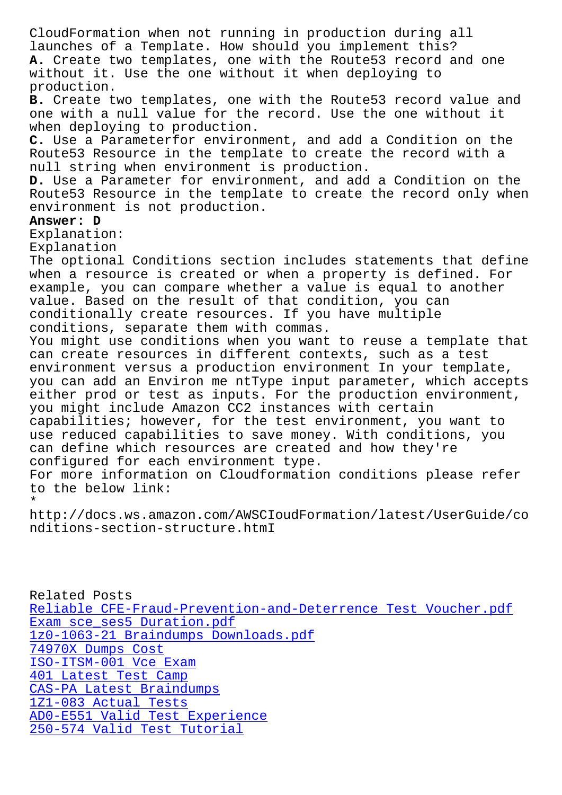launches of a Template. How should you implement this? **A.** Create two templates, one with the Route53 record and one without it. Use the one without it when deploying to production. **B.** Create two templates, one with the Route53 record value and one with a null value for the record. Use the one without it when deploying to production. **C.** Use a Parameterfor environment, and add a Condition on the Route53 Resource in the template to create the record with a null string when environment is production. **D.** Use a Parameter for environment, and add a Condition on the Route53 Resource in the template to create the record only when environment is not production. **Answer: D** Explanation: Explanation The optional Conditions section includes statements that define when a resource is created or when a property is defined. For example, you can compare whether a value is equal to another value. Based on the result of that condition, you can conditionally create resources. If you have multiple conditions, separate them with commas. You might use conditions when you want to reuse a template that can create resources in different contexts, such as a test environment versus a production environment In your template, you can add an Environ me ntType input parameter, which accepts either prod or test as inputs. For the production environment, you might include Amazon CC2 instances with certain capabilities; however, for the test environment, you want to use reduced capabilities to save money. With conditions, you can define which resources are created and how they're configured for each environment type. For more information on Cloudformation conditions please refer to the below link: \*

http://docs.ws.amazon.com/AWSCIoudFormation/latest/UserGuide/co nditions-section-structure.htmI

Related Posts Reliable CFE-Fraud-Prevention-and-Deterrence Test Voucher.pdf Exam sce ses5 Duration.pdf 1z0-1063-21 Braindumps Downloads.pdf 74970X Dumps Cost [ISO-ITSM-001 Vce Exam](https://www.samrock.com.tw/dump-Exam--Duration.pdf-050515/sce_ses5-exam/) 401 Latest Test Camp [CAS-PA Latest Braindumps](https://www.samrock.com.tw/dump-Braindumps-Downloads.pdf-383848/1z0-1063-21-exam/) [1Z1-083 Actual Tes](https://www.samrock.com.tw/dump-Dumps-Cost-515162/74970X-exam/)ts [AD0-E551 Valid Test Ex](https://www.samrock.com.tw/dump-Vce-Exam-050516/ISO-ITSM-001-exam/)perience [250-574 Valid Test Tutori](https://www.samrock.com.tw/dump-Latest-Braindumps-404050/CAS-PA-exam/)al